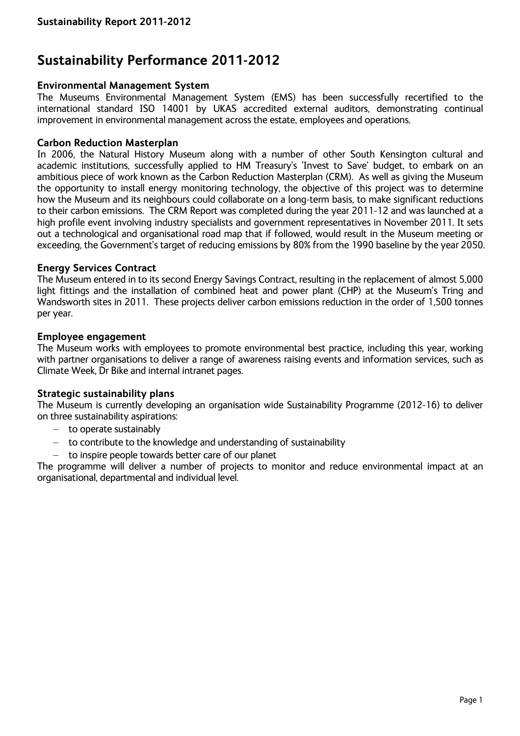# **Sustainability Performance 2011-2012**

## **Environmental Management System**

The Museums Environmental Management System (EMS) has been successfully recertified to the international standard ISO 14001 by UKAS accredited external auditors, demonstrating continual improvement in environmental management across the estate, employees and operations.

## **Carbon Reduction Masterplan**

In 2006, the Natural History Museum along with a number of other South Kensington cultural and academic institutions, successfully applied to HM Treasury's 'Invest to Save' budget, to embark on an ambitious piece of work known as the Carbon Reduction Masterplan (CRM). As well as giving the Museum the opportunity to install energy monitoring technology, the objective of this project was to determine how the Museum and its neighbours could collaborate on a long-term basis, to make significant reductions to their carbon emissions. The CRM Report was completed during the year 2011-12 and was launched at a high profile event involving industry specialists and government representatives in November 2011. It sets out a technological and organisational road map that if followed, would result in the Museum meeting or exceeding, the Government's target of reducing emissions by 80% from the 1990 baseline by the year 2050.

## **Energy Services Contract**

The Museum entered in to its second Energy Savings Contract, resulting in the replacement of almost 5,000 light fittings and the installation of combined heat and power plant (CHP) at the Museum's Tring and Wandsworth sites in 2011. These projects deliver carbon emissions reduction in the order of 1,500 tonnes per year.

## **Employee engagement**

The Museum works with employees to promote environmental best practice, including this year, working with partner organisations to deliver a range of awareness raising events and information services, such as Climate Week, Dr Bike and internal intranet pages.

## **Strategic sustainability plans**

The Museum is currently developing an organisation wide Sustainability Programme (2012-16) to deliver on three sustainability aspirations:

- $-$  to operate sustainably
- $-$  to contribute to the knowledge and understanding of sustainability
- $-$  to inspire people towards better care of our planet

The programme will deliver a number of projects to monitor and reduce environmental impact at an organisational, departmental and individual level.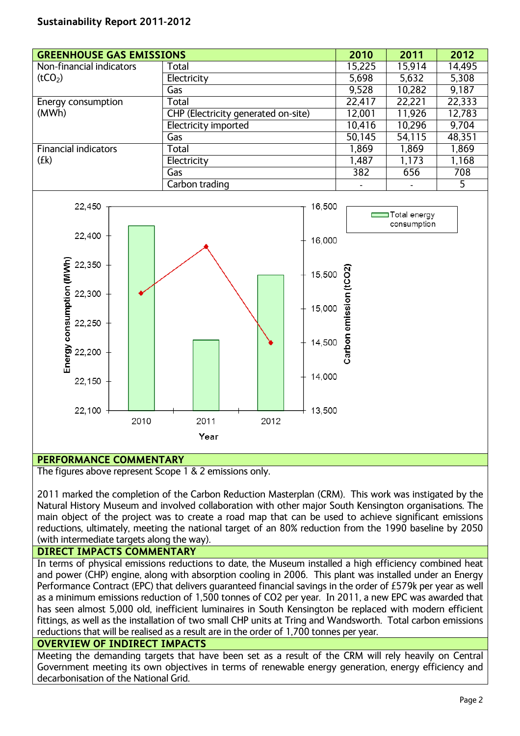# **Sustainability Report 2011-2012**

| <b>GREENHOUSE GAS EMISSIONS</b> |                                     | 2010   | 2011   | 2012   |
|---------------------------------|-------------------------------------|--------|--------|--------|
| Non-financial indicators        | Total                               | 15,225 | 15,914 | 14,495 |
| (tCO <sub>2</sub> )             | Electricity                         | 5,698  | 5,632  | 5,308  |
|                                 | Gas                                 | 9,528  | 10,282 | 9.187  |
| Energy consumption              | Total                               | 22,417 | 22,221 | 22,333 |
| (MWh)                           | CHP (Electricity generated on-site) | 12,001 | 11,926 | 12,783 |
|                                 | Electricity imported                | 10,416 | 10,296 | 9,704  |
|                                 | Gas                                 | 50,145 | 54,115 | 48,351 |
| <b>Financial indicators</b>     | Total                               | 1,869  | 1,869  | 1,869  |
| (fk)                            | Electricity                         | 1,487  | 1,173  | 1,168  |
|                                 | Gas                                 | 382    | 656    | 708    |
|                                 | Carbon trading                      |        | ۰      | 5      |



## **PERFORMANCE COMMENTARY**

The figures above represent Scope 1 & 2 emissions only.

2011 marked the completion of the Carbon Reduction Masterplan (CRM). This work was instigated by the Natural History Museum and involved collaboration with other major South Kensington organisations. The main object of the project was to create a road map that can be used to achieve significant emissions reductions, ultimately, meeting the national target of an 80% reduction from the 1990 baseline by 2050 (with intermediate targets along the way).

## **DIRECT IMPACTS COMMENTARY**

In terms of physical emissions reductions to date, the Museum installed a high efficiency combined heat and power (CHP) engine, along with absorption cooling in 2006. This plant was installed under an Energy Performance Contract (EPC) that delivers guaranteed financial savings in the order of £579k per year as well as a minimum emissions reduction of 1,500 tonnes of CO2 per year. In 2011, a new EPC was awarded that has seen almost 5,000 old, inefficient luminaires in South Kensington be replaced with modern efficient fittings, as well as the installation of two small CHP units at Tring and Wandsworth. Total carbon emissions reductions that will be realised as a result are in the order of 1,700 tonnes per year.

## **OVERVIEW OF INDIRECT IMPACTS**

Meeting the demanding targets that have been set as a result of the CRM will rely heavily on Central Government meeting its own objectives in terms of renewable energy generation, energy efficiency and decarbonisation of the National Grid.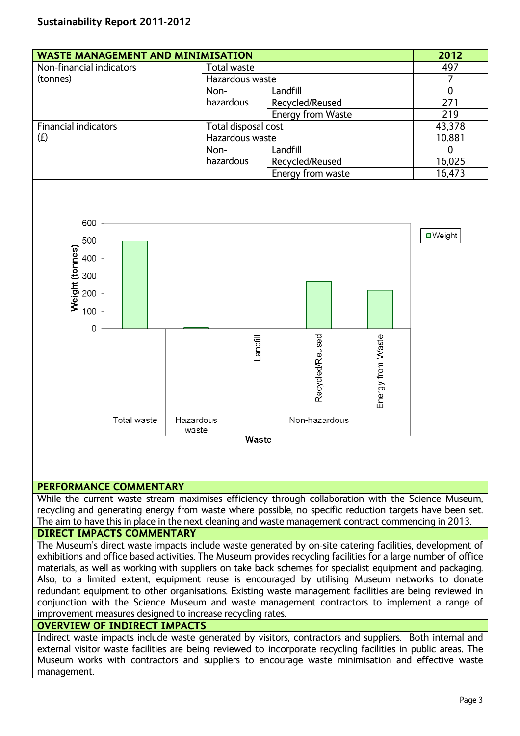| <b>WASTE MANAGEMENT AND MINIMISATION</b> | 2012                |                   |        |
|------------------------------------------|---------------------|-------------------|--------|
| Non-financial indicators                 | Total waste         |                   | 497    |
| (tonnes)                                 | Hazardous waste     |                   |        |
|                                          | Non-                | Landfill          | 0      |
|                                          | hazardous           | Recycled/Reused   | 271    |
|                                          |                     | Energy from Waste | 219    |
| <b>Financial indicators</b>              | Total disposal cost |                   | 43,378 |
| (f)                                      | Hazardous waste     |                   | 10.881 |
|                                          | Non-                | Landfill          | O      |
|                                          | hazardous           | Recycled/Reused   | 16,025 |
|                                          |                     | Energy from waste | 16,473 |
|                                          |                     |                   |        |



## **PERFORMANCE COMMENTARY**

While the current waste stream maximises efficiency through collaboration with the Science Museum, recycling and generating energy from waste where possible, no specific reduction targets have been set. The aim to have this in place in the next cleaning and waste management contract commencing in 2013.

## **DIRECT IMPACTS COMMENTARY**

The Museum's direct waste impacts include waste generated by on-site catering facilities, development of exhibitions and office based activities. The Museum provides recycling facilities for a large number of office materials, as well as working with suppliers on take back schemes for specialist equipment and packaging. Also, to a limited extent, equipment reuse is encouraged by utilising Museum networks to donate redundant equipment to other organisations. Existing waste management facilities are being reviewed in conjunction with the Science Museum and waste management contractors to implement a range of improvement measures designed to increase recycling rates.

## **OVERVIEW OF INDIRECT IMPACTS**

Indirect waste impacts include waste generated by visitors, contractors and suppliers. Both internal and external visitor waste facilities are being reviewed to incorporate recycling facilities in public areas. The Museum works with contractors and suppliers to encourage waste minimisation and effective waste management.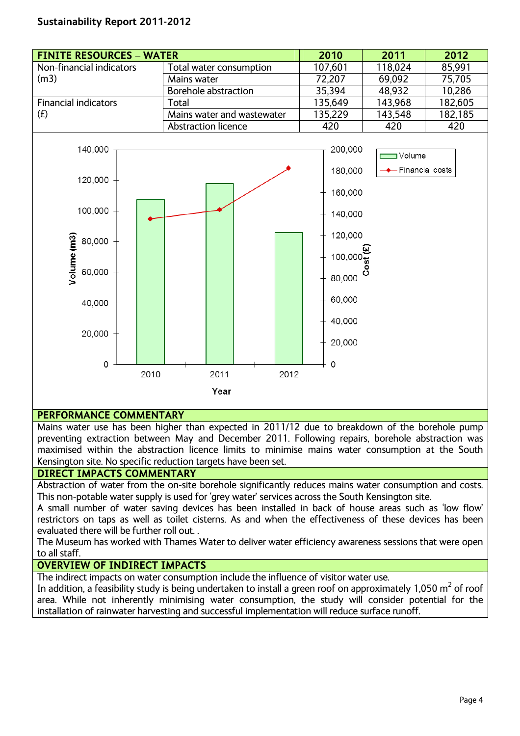## **Sustainability Report 2011-2012**

| <b>FINITE RESOURCES - WATER</b> |                            | 2010                                     | 2011                            | 2012    |
|---------------------------------|----------------------------|------------------------------------------|---------------------------------|---------|
| Non-financial indicators        | Total water consumption    | 107,601                                  | 118,024                         | 85,991  |
| (m3)                            | Mains water                | 72,207                                   | 69,092                          | 75,705  |
|                                 | Borehole abstraction       | 35,394                                   | 48,932                          | 10,286  |
| <b>Financial indicators</b>     | Total                      | 135,649                                  | 143,968                         | 182,605 |
| (f)                             | Mains water and wastewater | 135,229                                  | 143,548                         | 182,185 |
|                                 | Abstraction licence        | 420                                      | 420                             | 420     |
| 140,000<br>120,000<br>100,000   |                            | 200,000<br>180,000<br>160,000<br>140,000 | — Volume<br>—◆— Financial costs |         |



## **PERFORMANCE COMMENTARY**

Mains water use has been higher than expected in 2011/12 due to breakdown of the borehole pump preventing extraction between May and December 2011. Following repairs, borehole abstraction was maximised within the abstraction licence limits to minimise mains water consumption at the South Kensington site. No specific reduction targets have been set.

#### **DIRECT IMPACTS COMMENTARY**

Abstraction of water from the on-site borehole significantly reduces mains water consumption and costs. This non-potable water supply is used for 'grey water' services across the South Kensington site.

A small number of water saving devices has been installed in back of house areas such as 'low flow' restrictors on taps as well as toilet cisterns. As and when the effectiveness of these devices has been evaluated there will be further roll out. .

The Museum has worked with Thames Water to deliver water efficiency awareness sessions that were open to all staff.

#### **OVERVIEW OF INDIRECT IMPACTS**

The indirect impacts on water consumption include the influence of visitor water use.

In addition, a feasibility study is being undertaken to install a green roof on approximately 1,050  $m^2$  of roof area. While not inherently minimising water consumption, the study will consider potential for the installation of rainwater harvesting and successful implementation will reduce surface runoff.